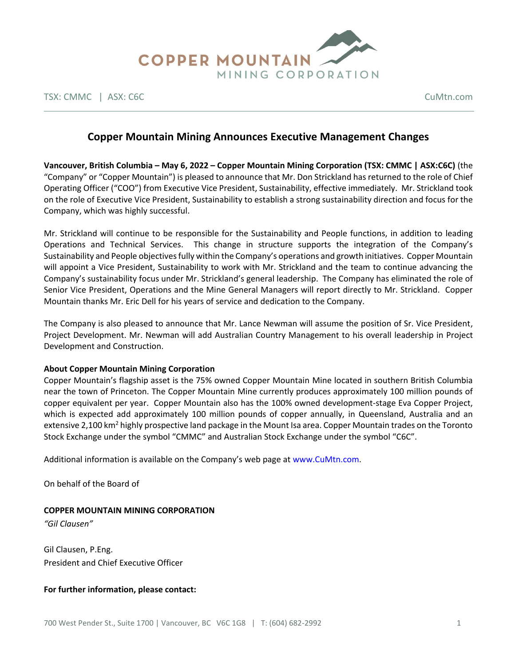

TSX: CMMC | ASX: C6C CuMtn.com

# **Copper Mountain Mining Announces Executive Management Changes**

**Vancouver, British Columbia – May 6, 2022 – Copper Mountain Mining Corporation (TSX: CMMC | ASX:C6C)** (the "Company" or "Copper Mountain") is pleased to announce that Mr. Don Strickland has returned to the role of Chief Operating Officer ("COO") from Executive Vice President, Sustainability, effective immediately. Mr. Strickland took on the role of Executive Vice President, Sustainability to establish a strong sustainability direction and focus for the Company, which was highly successful.

Mr. Strickland will continue to be responsible for the Sustainability and People functions, in addition to leading Operations and Technical Services. This change in structure supports the integration of the Company's Sustainability and People objectives fully within the Company's operations and growth initiatives. Copper Mountain will appoint a Vice President, Sustainability to work with Mr. Strickland and the team to continue advancing the Company's sustainability focus under Mr. Strickland's general leadership. The Company has eliminated the role of Senior Vice President, Operations and the Mine General Managers will report directly to Mr. Strickland. Copper Mountain thanks Mr. Eric Dell for his years of service and dedication to the Company.

The Company is also pleased to announce that Mr. Lance Newman will assume the position of Sr. Vice President, Project Development. Mr. Newman will add Australian Country Management to his overall leadership in Project Development and Construction.

### **About Copper Mountain Mining Corporation**

Copper Mountain's flagship asset is the 75% owned Copper Mountain Mine located in southern British Columbia near the town of Princeton. The Copper Mountain Mine currently produces approximately 100 million pounds of copper equivalent per year. Copper Mountain also has the 100% owned development-stage Eva Copper Project, which is expected add approximately 100 million pounds of copper annually, in Queensland, Australia and an extensive 2,100 km<sup>2</sup> highly prospective land package in the Mount Isa area. Copper Mountain trades on the Toronto Stock Exchange under the symbol "CMMC" and Australian Stock Exchange under the symbol "C6C".

Additional information is available on the Company's web page at www.CuMtn.com.

On behalf of the Board of

### **COPPER MOUNTAIN MINING CORPORATION**

*"Gil Clausen"*

Gil Clausen, P.Eng. President and Chief Executive Officer

### **For further information, please contact:**